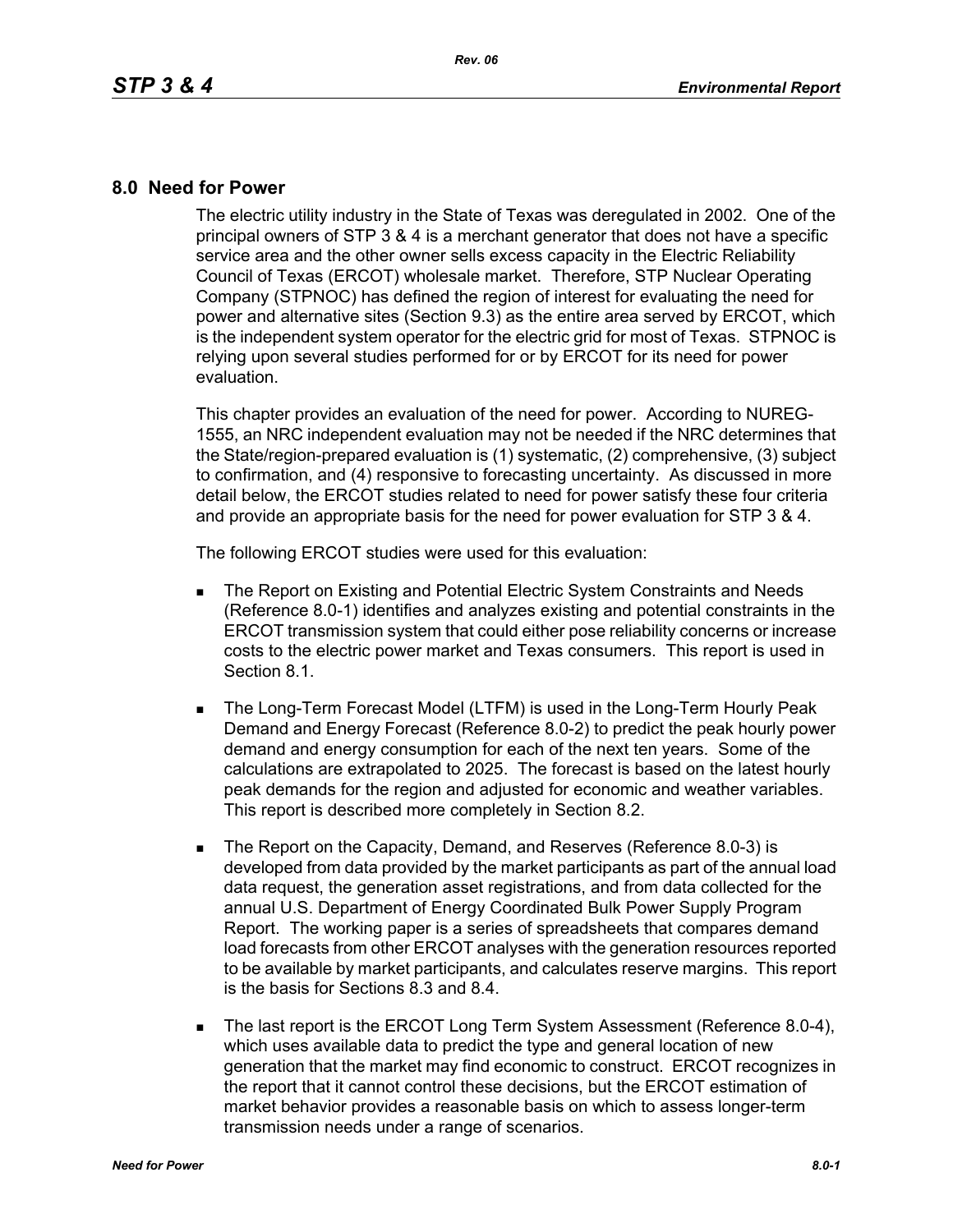## **8.0 Need for Power**

The electric utility industry in the State of Texas was deregulated in 2002. One of the principal owners of STP 3 & 4 is a merchant generator that does not have a specific service area and the other owner sells excess capacity in the Electric Reliability Council of Texas (ERCOT) wholesale market. Therefore, STP Nuclear Operating Company (STPNOC) has defined the region of interest for evaluating the need for power and alternative sites (Section 9.3) as the entire area served by ERCOT, which is the independent system operator for the electric grid for most of Texas. STPNOC is relying upon several studies performed for or by ERCOT for its need for power evaluation.

This chapter provides an evaluation of the need for power. According to NUREG-1555, an NRC independent evaluation may not be needed if the NRC determines that the State/region-prepared evaluation is (1) systematic, (2) comprehensive, (3) subject to confirmation, and (4) responsive to forecasting uncertainty. As discussed in more detail below, the ERCOT studies related to need for power satisfy these four criteria and provide an appropriate basis for the need for power evaluation for STP 3 & 4.

The following ERCOT studies were used for this evaluation:

- **The Report on Existing and Potential Electric System Constraints and Needs** (Reference 8.0-1) identifies and analyzes existing and potential constraints in the ERCOT transmission system that could either pose reliability concerns or increase costs to the electric power market and Texas consumers. This report is used in Section 8.1.
- **The Long-Term Forecast Model (LTFM) is used in the Long-Term Hourly Peak** Demand and Energy Forecast (Reference 8.0-2) to predict the peak hourly power demand and energy consumption for each of the next ten years. Some of the calculations are extrapolated to 2025. The forecast is based on the latest hourly peak demands for the region and adjusted for economic and weather variables. This report is described more completely in Section 8.2.
- The Report on the Capacity, Demand, and Reserves (Reference 8.0-3) is developed from data provided by the market participants as part of the annual load data request, the generation asset registrations, and from data collected for the annual U.S. Department of Energy Coordinated Bulk Power Supply Program Report. The working paper is a series of spreadsheets that compares demand load forecasts from other ERCOT analyses with the generation resources reported to be available by market participants, and calculates reserve margins. This report is the basis for Sections 8.3 and 8.4.
- The last report is the ERCOT Long Term System Assessment (Reference 8.0-4), which uses available data to predict the type and general location of new generation that the market may find economic to construct. ERCOT recognizes in the report that it cannot control these decisions, but the ERCOT estimation of market behavior provides a reasonable basis on which to assess longer-term transmission needs under a range of scenarios.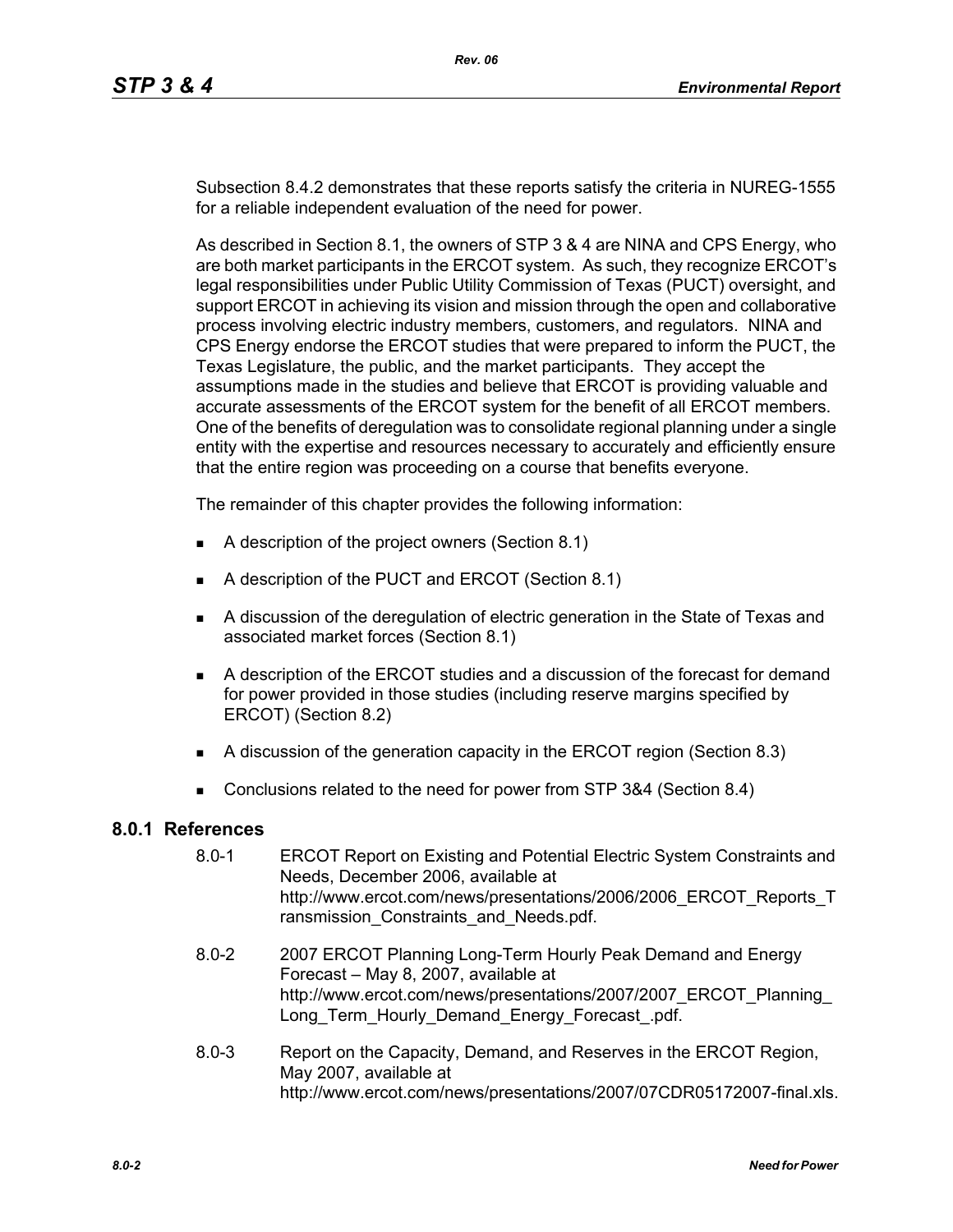Subsection 8.4.2 demonstrates that these reports satisfy the criteria in NUREG-1555 for a reliable independent evaluation of the need for power.

As described in Section 8.1, the owners of STP 3 & 4 are NINA and CPS Energy, who are both market participants in the ERCOT system. As such, they recognize ERCOT's legal responsibilities under Public Utility Commission of Texas (PUCT) oversight, and support ERCOT in achieving its vision and mission through the open and collaborative process involving electric industry members, customers, and regulators. NINA and CPS Energy endorse the ERCOT studies that were prepared to inform the PUCT, the Texas Legislature, the public, and the market participants. They accept the assumptions made in the studies and believe that ERCOT is providing valuable and accurate assessments of the ERCOT system for the benefit of all ERCOT members. One of the benefits of deregulation was to consolidate regional planning under a single entity with the expertise and resources necessary to accurately and efficiently ensure that the entire region was proceeding on a course that benefits everyone.

The remainder of this chapter provides the following information:

- A description of the project owners (Section 8.1)
- A description of the PUCT and ERCOT (Section 8.1)
- A discussion of the deregulation of electric generation in the State of Texas and associated market forces (Section 8.1)
- A description of the ERCOT studies and a discussion of the forecast for demand for power provided in those studies (including reserve margins specified by ERCOT) (Section 8.2)
- A discussion of the generation capacity in the ERCOT region (Section 8.3)
- Conclusions related to the need for power from STP 3&4 (Section 8.4)

## **8.0.1 References**

- 8.0-1 ERCOT Report on Existing and Potential Electric System Constraints and Needs, December 2006, available at http://www.ercot.com/news/presentations/2006/2006\_ERCOT\_Reports\_T ransmission Constraints and Needs.pdf.
- [8.0-2 2007 ERCOT Planning Long-Term Hourly Peak Demand and Energy](http://www.ercot.com/news/presentations/2007/2007_ERCOT_Planning_Long_Term_Hourly_Demand_Energy_Forecast_.pdf)  Forecast – May 8, 2007, available at http://www.ercot.com/news/presentations/2007/2007\_ERCOT\_Planning\_ Long\_Term\_Hourly\_Demand\_Energy\_Forecast\_.pdf.
- 8.0-3 Report on the Capacity, Demand, and Reserves in the ERCOT Region, May 2007, available at http://www.ercot.com/news/presentations/2007/07CDR05172007-final.xls.